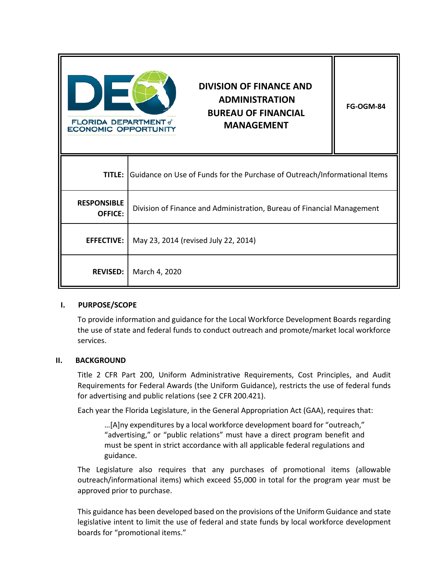| <b>FLORIDA DEPARTMENT</b> of<br><b>ECONOMIC OPPORTUNITY</b> | <b>DIVISION OF FINANCE AND</b><br><b>ADMINISTRATION</b><br><b>BUREAU OF FINANCIAL</b><br><b>MANAGEMENT</b> | <b>FG-OGM-84</b> |  |
|-------------------------------------------------------------|------------------------------------------------------------------------------------------------------------|------------------|--|
|                                                             | <b>TITLE:</b> Guidance on Use of Funds for the Purchase of Outreach/Informational Items                    |                  |  |
| <b>RESPONSIBLE</b><br>OFFICE:                               | Division of Finance and Administration, Bureau of Financial Management                                     |                  |  |
| <b>EFFECTIVE:</b>                                           | May 23, 2014 (revised July 22, 2014)                                                                       |                  |  |
| <b>REVISED:</b>                                             | March 4, 2020                                                                                              |                  |  |

# **I. PURPOSE/SCOPE**

To provide information and guidance for the Local Workforce Development Boards regarding the use of state and federal funds to conduct outreach and promote/market local workforce services.

# **II. BACKGROUND**

Title 2 CFR Part 200, Uniform Administrative Requirements, Cost Principles, and Audit Requirements for Federal Awards (the Uniform Guidance), restricts the use of federal funds for advertising and public relations (see 2 CFR 200.421).

Each year the Florida Legislature, in the General Appropriation Act (GAA), requires that:

…[A]ny expenditures by a local workforce development board for "outreach," "advertising," or "public relations" must have a direct program benefit and must be spent in strict accordance with all applicable federal regulations and guidance.

The Legislature also requires that any purchases of promotional items (allowable outreach/informational items) which exceed \$5,000 in total for the program year must be approved prior to purchase.

This guidance has been developed based on the provisions of the Uniform Guidance and state legislative intent to limit the use of federal and state funds by local workforce development boards for "promotional items."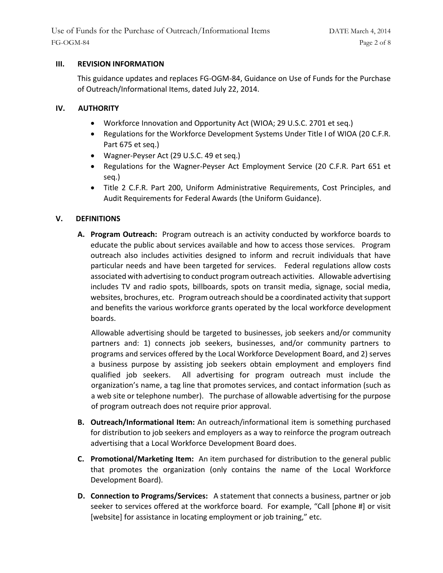#### **III. REVISION INFORMATION**

This guidance updates and replaces FG-OGM-84, Guidance on Use of Funds for the Purchase of Outreach/Informational Items, dated July 22, 2014.

#### **IV. AUTHORITY**

- Workforce Innovation and Opportunity Act (WIOA; 29 U.S.C. 2701 et seq.)
- Regulations for the Workforce Development Systems Under Title I of WIOA (20 C.F.R. Part 675 et seq.)
- Wagner-Peyser Act (29 U.S.C. 49 et seq.)
- Regulations for the Wagner-Peyser Act Employment Service (20 C.F.R. Part 651 et seq.)
- Title 2 C.F.R. Part 200, Uniform Administrative Requirements, Cost Principles, and Audit Requirements for Federal Awards (the Uniform Guidance).

# **V. DEFINITIONS**

**A. Program Outreach:** Program outreach is an activity conducted by workforce boards to educate the public about services available and how to access those services. Program outreach also includes activities designed to inform and recruit individuals that have particular needs and have been targeted for services. Federal regulations allow costs associated with advertising to conduct program outreach activities. Allowable advertising includes TV and radio spots, billboards, spots on transit media, signage, social media, websites, brochures, etc. Program outreach should be a coordinated activity that support and benefits the various workforce grants operated by the local workforce development boards.

Allowable advertising should be targeted to businesses, job seekers and/or community partners and: 1) connects job seekers, businesses, and/or community partners to programs and services offered by the Local Workforce Development Board, and 2) serves a business purpose by assisting job seekers obtain employment and employers find qualified job seekers. All advertising for program outreach must include the organization's name, a tag line that promotes services, and contact information (such as a web site or telephone number). The purchase of allowable advertising for the purpose of program outreach does not require prior approval.

- **B. Outreach/Informational Item:** An outreach/informational item is something purchased for distribution to job seekers and employers as a way to reinforce the program outreach advertising that a Local Workforce Development Board does.
- **C. Promotional/Marketing Item:** An item purchased for distribution to the general public that promotes the organization (only contains the name of the Local Workforce Development Board).
- **D. Connection to Programs/Services:** A statement that connects a business, partner or job seeker to services offered at the workforce board. For example, "Call [phone #] or visit [website] for assistance in locating employment or job training," etc.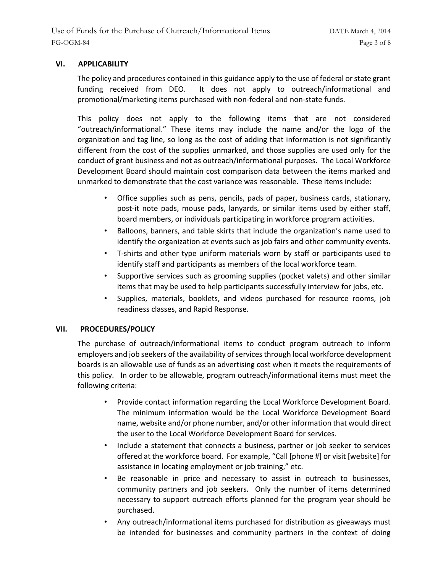# **VI. APPLICABILITY**

The policy and procedures contained in this guidance apply to the use of federal or state grant funding received from DEO. It does not apply to outreach/informational and promotional/marketing items purchased with non-federal and non-state funds.

This policy does not apply to the following items that are not considered "outreach/informational." These items may include the name and/or the logo of the organization and tag line, so long as the cost of adding that information is not significantly different from the cost of the supplies unmarked, and those supplies are used only for the conduct of grant business and not as outreach/informational purposes. The Local Workforce Development Board should maintain cost comparison data between the items marked and unmarked to demonstrate that the cost variance was reasonable. These items include:

- Office supplies such as pens, pencils, pads of paper, business cards, stationary, post-it note pads, mouse pads, lanyards, or similar items used by either staff, board members, or individuals participating in workforce program activities.
- Balloons, banners, and table skirts that include the organization's name used to identify the organization at events such as job fairs and other community events.
- T-shirts and other type uniform materials worn by staff or participants used to identify staff and participants as members of the local workforce team.
- Supportive services such as grooming supplies (pocket valets) and other similar items that may be used to help participants successfully interview for jobs, etc.
- Supplies, materials, booklets, and videos purchased for resource rooms, job readiness classes, and Rapid Response.

# **VII. PROCEDURES/POLICY**

The purchase of outreach/informational items to conduct program outreach to inform employers and job seekers of the availability of services through local workforce development boards is an allowable use of funds as an advertising cost when it meets the requirements of this policy. In order to be allowable, program outreach/informational items must meet the following criteria:

- Provide contact information regarding the Local Workforce Development Board. The minimum information would be the Local Workforce Development Board name, website and/or phone number, and/or other information that would direct the user to the Local Workforce Development Board for services.
- Include a statement that connects a business, partner or job seeker to services offered at the workforce board. For example, "Call [phone #] or visit [website] for assistance in locating employment or job training," etc.
- Be reasonable in price and necessary to assist in outreach to businesses, community partners and job seekers. Only the number of items determined necessary to support outreach efforts planned for the program year should be purchased.
- Any outreach/informational items purchased for distribution as giveaways must be intended for businesses and community partners in the context of doing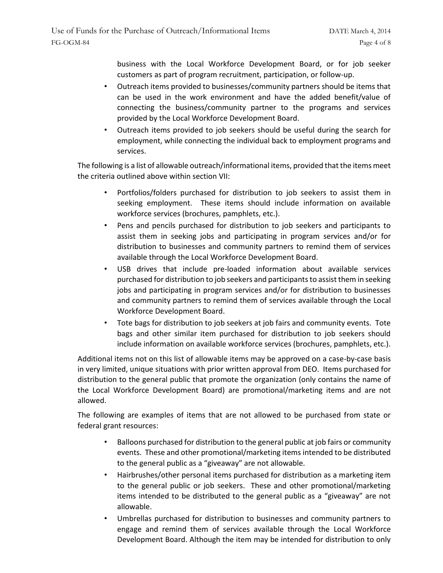business with the Local Workforce Development Board, or for job seeker customers as part of program recruitment, participation, or follow-up.

- Outreach items provided to businesses/community partners should be items that can be used in the work environment and have the added benefit/value of connecting the business/community partner to the programs and services provided by the Local Workforce Development Board.
- Outreach items provided to job seekers should be useful during the search for employment, while connecting the individual back to employment programs and services.

The following is a list of allowable outreach/informational items, provided that the items meet the criteria outlined above within section VII:

- Portfolios/folders purchased for distribution to job seekers to assist them in seeking employment. These items should include information on available workforce services (brochures, pamphlets, etc.).
- Pens and pencils purchased for distribution to job seekers and participants to assist them in seeking jobs and participating in program services and/or for distribution to businesses and community partners to remind them of services available through the Local Workforce Development Board.
- USB drives that include pre-loaded information about available services purchased for distribution to job seekers and participants to assist them in seeking jobs and participating in program services and/or for distribution to businesses and community partners to remind them of services available through the Local Workforce Development Board.
- Tote bags for distribution to job seekers at job fairs and community events. Tote bags and other similar item purchased for distribution to job seekers should include information on available workforce services (brochures, pamphlets, etc.).

Additional items not on this list of allowable items may be approved on a case-by-case basis in very limited, unique situations with prior written approval from DEO. Items purchased for distribution to the general public that promote the organization (only contains the name of the Local Workforce Development Board) are promotional/marketing items and are not allowed.

The following are examples of items that are not allowed to be purchased from state or federal grant resources:

- Balloons purchased for distribution to the general public at job fairs or community events. These and other promotional/marketing items intended to be distributed to the general public as a "giveaway" are not allowable.
- Hairbrushes/other personal items purchased for distribution as a marketing item to the general public or job seekers. These and other promotional/marketing items intended to be distributed to the general public as a "giveaway" are not allowable.
- Umbrellas purchased for distribution to businesses and community partners to engage and remind them of services available through the Local Workforce Development Board. Although the item may be intended for distribution to only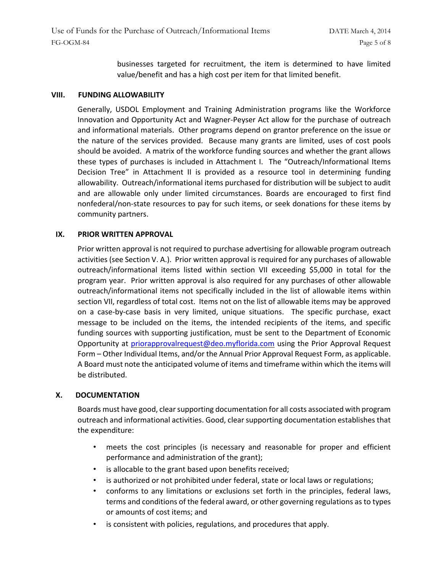businesses targeted for recruitment, the item is determined to have limited value/benefit and has a high cost per item for that limited benefit.

#### **VIII. FUNDING ALLOWABILITY**

Generally, USDOL Employment and Training Administration programs like the Workforce Innovation and Opportunity Act and Wagner-Peyser Act allow for the purchase of outreach and informational materials. Other programs depend on grantor preference on the issue or the nature of the services provided. Because many grants are limited, uses of cost pools should be avoided. A matrix of the workforce funding sources and whether the grant allows these types of purchases is included in Attachment I. The "Outreach/Informational Items Decision Tree" in Attachment II is provided as a resource tool in determining funding allowability. Outreach/informational items purchased for distribution will be subject to audit and are allowable only under limited circumstances. Boards are encouraged to first find nonfederal/non-state resources to pay for such items, or seek donations for these items by community partners.

#### **IX. PRIOR WRITTEN APPROVAL**

Prior written approval is not required to purchase advertising for allowable program outreach activities (see Section V. A.). Prior written approval is required for any purchases of allowable outreach/informational items listed within section VII exceeding \$5,000 in total for the program year. Prior written approval is also required for any purchases of other allowable outreach/informational items not specifically included in the list of allowable items within section VII, regardless of total cost. Items not on the list of allowable items may be approved on a case-by-case basis in very limited, unique situations. The specific purchase, exact message to be included on the items, the intended recipients of the items, and specific funding sources with supporting justification, must be sent to the Department of Economic Opportunity at priorapprovalrequest@deo.myflorida.com using the Prior Approval Request Form – Other Individual Items, and/or the Annual Prior Approval Request Form, as applicable. A Board must note the anticipated volume of items and timeframe within which the items will be distributed.

# **X. DOCUMENTATION**

Boards must have good, clear supporting documentation for all costs associated with program outreach and informational activities. Good, clear supporting documentation establishes that the expenditure:

- meets the cost principles (is necessary and reasonable for proper and efficient performance and administration of the grant);
- is allocable to the grant based upon benefits received;
- is authorized or not prohibited under federal, state or local laws or regulations;
- conforms to any limitations or exclusions set forth in the principles, federal laws, terms and conditions of the federal award, or other governing regulations as to types or amounts of cost items; and
- is consistent with policies, regulations, and procedures that apply.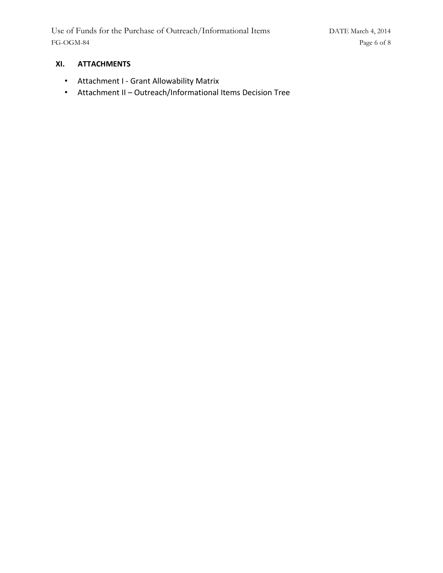# **XI. ATTACHMENTS**

- Attachment I Grant Allowability Matrix
- Attachment II Outreach/Informational Items Decision Tree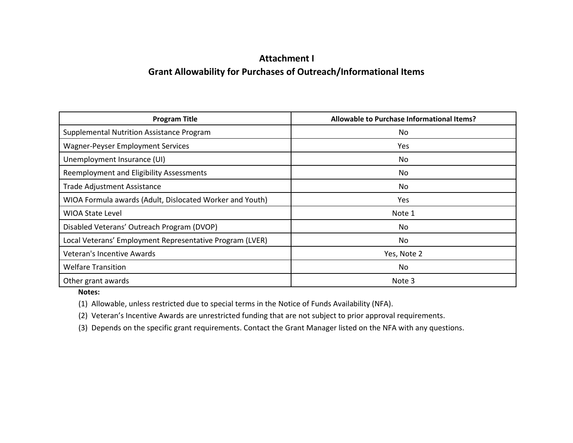# **Attachment I Grant Allowability for Purchases of Outreach/Informational Items**

| <b>Program Title</b>                                     | Allowable to Purchase Informational Items? |  |
|----------------------------------------------------------|--------------------------------------------|--|
| <b>Supplemental Nutrition Assistance Program</b>         | No                                         |  |
| <b>Wagner-Peyser Employment Services</b>                 | Yes                                        |  |
| Unemployment Insurance (UI)                              | No                                         |  |
| Reemployment and Eligibility Assessments                 | No                                         |  |
| Trade Adjustment Assistance                              | No                                         |  |
| WIOA Formula awards (Adult, Dislocated Worker and Youth) | Yes.                                       |  |
| <b>WIOA State Level</b>                                  | Note 1                                     |  |
| Disabled Veterans' Outreach Program (DVOP)               | No                                         |  |
| Local Veterans' Employment Representative Program (LVER) | No                                         |  |
| Veteran's Incentive Awards                               | Yes, Note 2                                |  |
| <b>Welfare Transition</b>                                | No                                         |  |
| Other grant awards                                       | Note 3                                     |  |

**Notes:** 

(1) Allowable, unless restricted due to special terms in the Notice of Funds Availability (NFA).

(2) Veteran's Incentive Awards are unrestricted funding that are not subject to prior approval requirements.

(3) Depends on the specific grant requirements. Contact the Grant Manager listed on the NFA with any questions.